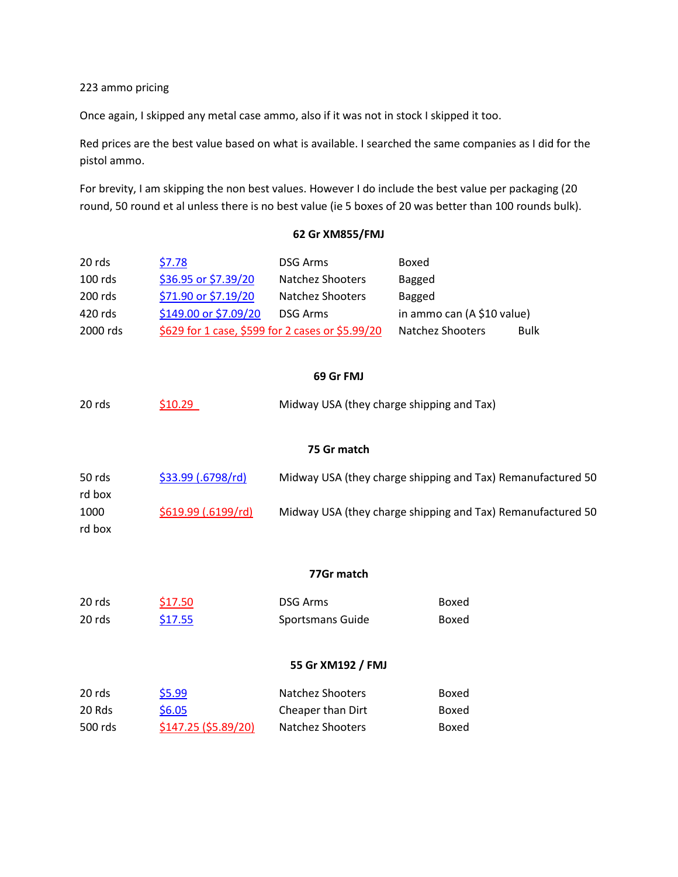223 ammo pricing

Once again, I skipped any metal case ammo, also if it was not in stock I skipped it too.

Red prices are the best value based on what is available. I searched the same companies as I did for the pistol ammo.

For brevity, I am skipping the non best values. However I do include the best value per packaging (20 round, 50 round et al unless there is no best value (ie 5 boxes of 20 was better than 100 rounds bulk).

## **62 Gr XM855/FMJ**

| 20 rds     | \$7.78                      | <b>DSG Arms</b>                                             | Boxed                      |             |  |  |  |
|------------|-----------------------------|-------------------------------------------------------------|----------------------------|-------------|--|--|--|
| 100 rds    | \$36.95 or \$7.39/20        | <b>Natchez Shooters</b>                                     | <b>Bagged</b>              |             |  |  |  |
| 200 rds    | \$71.90 or \$7.19/20        | Natchez Shooters                                            | <b>Bagged</b>              |             |  |  |  |
| 420 rds    | \$149.00 or \$7.09/20       | <b>DSG Arms</b>                                             | in ammo can (A \$10 value) |             |  |  |  |
| 2000 rds   |                             | \$629 for 1 case, \$599 for 2 cases or \$5.99/20            | Natchez Shooters           | <b>Bulk</b> |  |  |  |
|            |                             | 69 Gr FMJ                                                   |                            |             |  |  |  |
| 20 rds     | \$10.29                     | Midway USA (they charge shipping and Tax)                   |                            |             |  |  |  |
|            |                             | 75 Gr match                                                 |                            |             |  |  |  |
| 50 rds     | \$33.99 (.6798/rd)          | Midway USA (they charge shipping and Tax) Remanufactured 50 |                            |             |  |  |  |
| rd box     |                             |                                                             |                            |             |  |  |  |
| 1000       | \$619.99 (.6199/rd)         | Midway USA (they charge shipping and Tax) Remanufactured 50 |                            |             |  |  |  |
| rd box     |                             |                                                             |                            |             |  |  |  |
| 77Gr match |                             |                                                             |                            |             |  |  |  |
| 20 rds     | \$17.50                     | <b>DSG Arms</b>                                             | Boxed                      |             |  |  |  |
| 20 rds     | \$17.55                     | Sportsmans Guide                                            | Boxed                      |             |  |  |  |
|            |                             | 55 Gr XM192 / FMJ                                           |                            |             |  |  |  |
| 20 rds     | \$5.99                      | Natchez Shooters                                            | Boxed                      |             |  |  |  |
| 20 Rds     | \$6.05                      | Cheaper than Dirt                                           | Boxed                      |             |  |  |  |
| 500 rds    | <u>\$147.25 (\$5.89/20)</u> | Natchez Shooters                                            | Boxed                      |             |  |  |  |